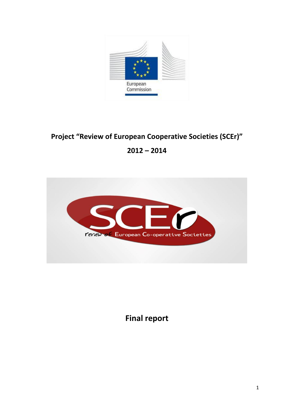

# **Project "Review of European Cooperative Societies (SCEr)"**

# **2012 – 2014**



**Final report**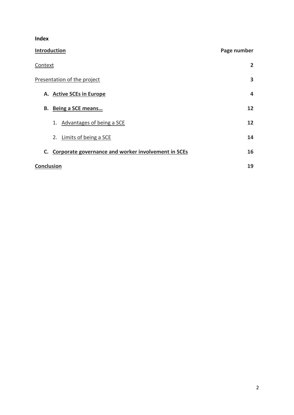**Index**

<span id="page-1-0"></span>

| <b>Introduction</b>                                       | Page number  |
|-----------------------------------------------------------|--------------|
| Context                                                   | $\mathbf{2}$ |
| Presentation of the project                               | 3            |
| A. Active SCEs in Europe                                  | 4            |
| Being a SCE means<br>В.                                   | 12           |
| 1. Advantages of being a SCE                              | 12           |
| 2. Limits of being a SCE                                  | 14           |
| Corporate governance and worker involvement in SCEs<br>C. | 16           |
| <b>Conclusion</b>                                         | 19           |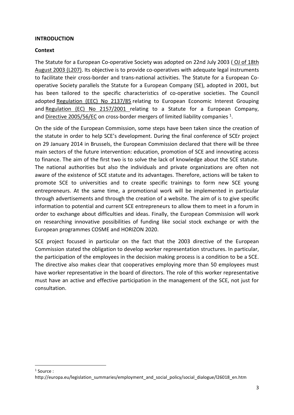#### **INTRODUCTION**

#### <span id="page-2-0"></span>**Context**

The Statute for a European Co-operative Society was adopted on 22nd July 2003 ( [OJ of 18th](http://eur-lex.europa.eu/LexUriServ/LexUriServ.do?uri=OJ:L:2003:207:0001:0024:EN:PDF)  [August 2003 \(L207\).](http://eur-lex.europa.eu/LexUriServ/LexUriServ.do?uri=OJ:L:2003:207:0001:0024:EN:PDF) Its objective is to provide co-operatives with adequate legal instruments to facilitate their cross-border and trans-national activities. The Statute for a European Cooperative Society parallels the Statute for a European Company (SE), adopted in 2001, but has been tailored to the specific characteristics of co-operative societies. The Council adopted [Regulation \(EEC\) No 2137/85](http://europa.eu/legislation_summaries/internal_market/businesses/company_law/l26015_en.htm) relating to European Economic Interest Grouping and [Regulation \(EC\) No 2157/2001](http://europa.eu/legislation_summaries/employment_and_social_policy/social_dialogue/l26016_en.htm) relating to a Statute for a European Company, and [Directive 2005/56/EC](http://europa.eu/legislation_summaries/internal_market/businesses/company_law/l26041_en.htm) on cross-border mergers of limited liability companies <sup>1</sup>.

On the side of the European Commission, some steps have been taken since the creation of the statute in order to help SCE's development. During the final conference of SCEr project on 29 January 2014 in Brussels, the European Commission declared that there will be three main sectors of the future intervention: education, promotion of SCE and innovating access to finance. The aim of the first two is to solve the lack of knowledge about the SCE statute. The national authorities but also the individuals and private organizations are often not aware of the existence of SCE statute and its advantages. Therefore, actions will be taken to promote SCE to universities and to create specific trainings to form new SCE young entrepreneurs. At the same time, a promotional work will be implemented in particular through advertisements and through the creation of a website. The aim of is to give specific information to potential and current SCE entrepreneurs to allow them to meet in a forum in order to exchange about difficulties and ideas. Finally, the European Commission will work on researching innovative possibilities of funding like social stock exchange or with the European programmes COSME and HORIZON 2020.

SCE project focused in particular on the fact that the 2003 directive of the European Commission stated the obligation to develop worker representation structures. In particular, the participation of the employees in the decision making process is a condition to be a SCE. The directive also makes clear that cooperatives employing more than 50 employees must have worker representative in the board of directors. The role of this worker representative must have an active and effective participation in the management of the SCE, not just for consultation.

1

<sup>1</sup> Source :

http://europa.eu/legislation\_summaries/employment\_and\_social\_policy/social\_dialogue/l26018\_en.htm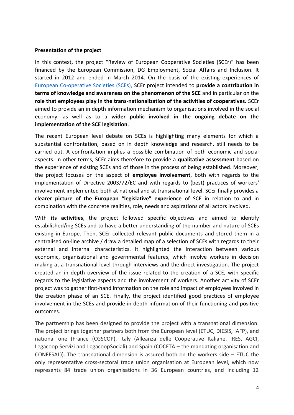#### <span id="page-3-0"></span>**Presentation of the project**

In this context, the project "Review of European Cooperative Societies (SCEr)" has been financed by the European Commission, DG Employment, Social Affairs and Inclusion. It started in 2012 and ended in March 2014. On the basis of the existing experiences of [European Co-operative Societies \(SCEs\),](http://www.scer.eu/) SCEr project intended to **provide a contribution in terms of knowledge and awareness on the phenomenon of the SCE** and in particular on the **role that employees play in the trans-nationalization of the activities of cooperatives.** SCEr aimed to provide an in depth information mechanism to organisations involved in the social economy, as well as to a **wider public involved in the ongoing debate on the implementation of the SCE legislation**.

The recent European level debate on SCEs is highlighting many elements for which a substantial confrontation, based on in depth knowledge and research, still needs to be carried out. A confrontation implies a possible combination of both economic and social aspects. In other terms, SCEr aims therefore to provide a **qualitative assessment** based on the experience of existing SCEs and of those in the process of being established. Moreover, the project focuses on the aspect of **employee involvement**, both with regards to the implementation of Directive 2003/72/EC and with regards to (best) practices of workers' involvement implemented both at national and at transnational level. SCEr finally provides a c**learer picture of the European "legislative" experience** of SCE in relation to and in combination with the concrete realities, role, needs and aspirations of all actors involved.

With **its activities**, the project followed specific objectives and aimed to identify estabilished/ing SCEs and to have a better understanding of the number and nature of SCEs existing in Europe. Then, SCEr collected relevant public documents and stored them in a centralised on-line archive / draw a detailed map of a selection of SCEs with regards to their external and internal characteristics. It highlighted the interaction between various economic, organisational and governmental features, which involve workers in decision making at a transnational level through interviews and the direct investigation. The project created an in depth overview of the issue related to the creation of a SCE, with specific regards to the legislative aspects and the involvement of workers. Another activity of SCEr project was to gather first-hand information on the role and impact of employees involved in the creation phase of an SCE. Finally, the project identified good practices of employee involvement in the SCEs and provide in depth information of their functioning and positive outcomes.

The partnership has been designed to provide the project with a transnational dimension. The project brings together partners both from the European level (ETUC, DIESIS, IAFP), and national one (France (CGSCOP), Italy (Alleanza delle Cooperative Italiane, IRES, AGCI, Legacoop Servizi and LegacoopSociali) and Spain (COCETA – the mandating organisation and CONFESAL)). The transnational dimension is assured both on the workers side – ETUC the only representative cross-sectoral trade union organisation at European level, which now represents 84 trade union organisations in 36 European countries, and including 12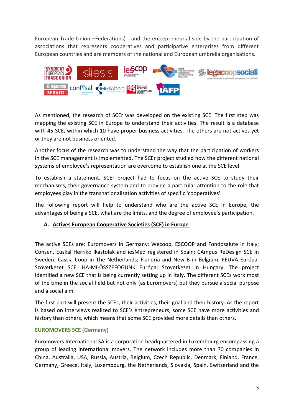European Trade Union –Federations) - and the entrepreneurial side by the participation of associations that represents cooperatives and participative enterprises from different European countries and are members of the national and European umbrella organisations.



As mentioned, the research of SCEr was developed on the existing SCE. The first step was mapping the existing SCE in Europe to understand their activities. The result is a database with 45 SCE, within which 10 have proper business activities. The others are not actives yet or they are not business oriented.

Another focus of the research was to understand the way that the participation of workers in the SCE management is implemented. The SCEr project studied how the different national systems of employee's representation are overcome to establish one at the SCE level.

To establish a statement, SCEr project had to focus on the active SCE to study their mechanisms, their governance system and to provide a particular attention to the role that employees play in the transnationalisation activities of specific 'cooperatives'.

The following report will help to understand who are the active SCE in Europe, the advantages of being a SCE, what are the limits, and the degree of employee's participation.

# <span id="page-4-0"></span>**A. Actives European Cooperative Societies (SCE) in Europe**

The active SCEs are: Euromovers in Germany: Wecoop, ESCOOP and Fondosalute in Italy; Consen, Euskal Herriko Ikastolak and iesMed registered in Spain; CAmpus ReDesign SCE in Sweden; Cassia Coop in The Netherlands; Flandria and New B in Belgium; FEUVA Európai Szövetkezet SCE, HA-MI-ÖSSZEFOGUNK Európai Szövetkezet in Hungary. The project identified a new SCE that is being currently setting up in Italy. The different SCEs work most of the time in the social field but not only (as Euromovers) but they pursue a social purpose and a social aim.

The first part will present the SCEs, their activities, their goal and their history. As the report is based on interviews realized to SCE's entrepreneurs, some SCE have more activities and history than others, which means that some SCE provided more details than others.

# **EUROMOVERS SCE (Germany)**

Euromovers International SA is a corporation headquartered in Luxembourg encompassing a group of leading international movers. The network includes more than 70 companies in China, Australia, USA, Russia, Austria, Belgium, Czech Republic, Denmark, Finland, France, Germany, Greece, Italy, Luxembourg, the Netherlands, Slovakia, Spain, Switzerland and the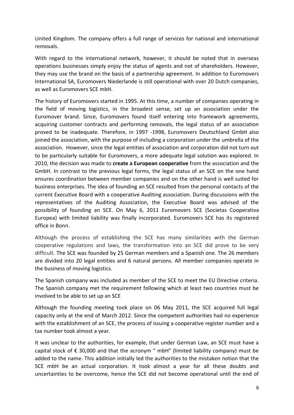United Kingdom. The company offers a full range of services for national and international removals.

With regard to the international network, however, it should be noted that in overseas operations businesses simply enjoy the status of agents and not of shareholders. However, they may use the brand on the basis of a partnership agreement. In addition to Euromovers International SA, Euromovers Niederlande is still operational with over 20 Dutch companies, as well as Euromovers SCE mbH.

The history of Euromovers started in 1995. At this time, a number of companies operating in the field of moving logistics, in the broadest sense, set up an association under the Euromover brand. Since, Euromovers found itself entering into framework agreements, acquiring customer contracts and performing removals, the legal status of an association proved to be inadequate. Therefore, in 1997 -1998, Euromovers Deutschland GmbH also joined the association, with the purpose of including a corporation under the umbrella of the association. However, since the legal entities of association and corporation did not turn out to be particularly suitable for Euromovers, a more adequate legal solution was explored. In 2010, the decision was made to **create a European cooperative** from the association and the GmbH. In contrast to the previous legal forms, the legal status of an SCE on the one hand ensures coordination between member companies and on the other hand is well suited for business enterprises. The idea of founding an SCE resulted from the personal contacts of the current Executive Board with a cooperative Auditing association. During discussions with the representatives of the Auditing Association, the Executive Board was advised of the possibility of founding an SCE. On May 6, 2011 Euromovers SCE (Societas Cooperativa Europea) with limited liability was finally incorporated. Euromovers SCE has its registered office in Bonn.

Although the process of establishing the SCE has many similarities with the German cooperative regulations and laws, the transformation into an SCE did prove to be very difficult. The SCE was founded by 25 German members and a Spanish one. The 26 members are divided into 20 legal entities and 6 natural persons. All member companies operate in the business of moving logistics.

The Spanish company was included as member of the SCE to meet the EU Directive criteria. The Spanish company met the requirement following which at least two countries must be involved to be able to set up an SCE

Although the founding meeting took place on 06 May 2011, the SCE acquired full legal capacity only at the end of March 2012. Since the competent authorities had no experience with the establishment of an SCE, the process of issuing a cooperative register number and a tax number took almost a year.

It was unclear to the authorities, for example, that under German Law, an SCE must have a capital stock of  $\epsilon$  30,000 and that the acronym " mbH" (limited liability company) must be added to the name. This addition initially led the authorities to the mistaken notion that the SCE mbH be an actual corporation. It took almost a year for all these doubts and uncertainties to be overcome, hence the SCE did not become operational until the end of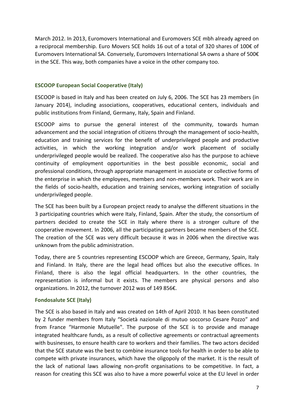March 2012. In 2013, Euromovers International and Euromovers SCE mbh already agreed on a reciprocal membership. Euro Movers SCE holds 16 out of a total of 320 shares of 100€ of Euromovers International SA. Conversely, Euromovers International SA owns a share of 500€ in the SCE. This way, both companies have a voice in the other company too.

## **ESCOOP European Social Cooperative (Italy)**

ESCOOP is based in Italy and has been created on July 6, 2006. The SCE has 23 members (in January 2014), including associations, cooperatives, educational centers, individuals and public institutions from Finland, Germany, Italy, Spain and Finland.

ESCOOP aims to pursue the general interest of the community, towards human advancement and the social integration of citizens through the management of socio-health, education and training services for the benefit of underprivileged people and productive activities, in which the working integration and/or work placement of socially underprivileged people would be realized. The cooperative also has the purpose to achieve continuity of employment opportunities in the best possible economic, social and professional conditions, through appropriate management in associate or collective forms of the enterprise in which the employees, members and non-members work. Their work are in the fields of socio-health, education and training services, working integration of socially underprivileged people.

The SCE has been built by a European project ready to analyse the different situations in the 3 participating countries which were Italy, Finland, Spain. After the study, the consortium of partners decided to create the SCE in Italy where there is a stronger culture of the cooperative movement. In 2006, all the participating partners became members of the SCE. The creation of the SCE was very difficult because it was in 2006 when the directive was unknown from the public administration.

Today, there are 5 countries representing ESCOOP which are Greece, Germany, Spain, Italy and Finland. In Italy, there are the legal head offices but also the executive offices. In Finland, there is also the legal official headquarters. In the other countries, the representation is informal but it exists. The members are physical persons and also organizations. In 2012, the turnover 2012 was of 149 856€.

# **Fondosalute SCE (Italy)**

The SCE is also based in Italy and was created on 14th of April 2010. It has been constituted by 2 funder members from Italy "Società nazionale di mutuo soccorso Cesare Pozzo" and from France "Harmonie Mutuelle". The purpose of the SCE is to provide and manage integrated healthcare funds, as a result of collective agreements or contractual agreements with businesses, to ensure health care to workers and their families. The two actors decided that the SCE statute was the best to combine insurance tools for health in order to be able to compete with private insurances, which have the oligopoly of the market. It is the result of the lack of national laws allowing non-profit organisations to be competitive. In fact, a reason for creating this SCE was also to have a more powerful voice at the EU level in order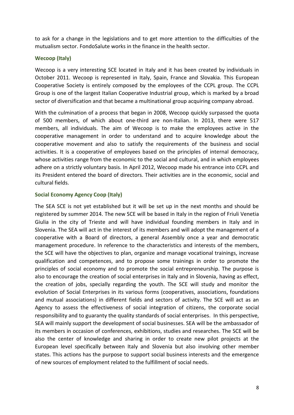to ask for a change in the legislations and to get more attention to the difficulties of the mutualism sector. FondoSalute works in the finance in the health sector.

## **Wecoop (Italy)**

Wecoop is a very interesting SCE located in Italy and it has been created by individuals in October 2011. Wecoop is represented in Italy, Spain, France and Slovakia. This European Cooperative Society is entirely composed by the employees of the CCPL group. The CCPL Group is one of the largest Italian Cooperative Industrial group, which is marked by a broad sector of diversification and that became a multinational group acquiring company abroad.

With the culmination of a process that began in 2008, Wecoop quickly surpassed the quota of 500 members, of which about one-third are non-Italian. In 2013, there were 517 members, all individuals. The aim of Wecoop is to make the employees active in the cooperative management in order to understand and to acquire knowledge about the cooperative movement and also to satisfy the requirements of the business and social activities. It is a cooperative of employees based on the principles of internal democracy, whose activities range from the economic to the social and cultural, and in which employees adhere on a strictly voluntary basis. In April 2012, Wecoop made his entrance into CCPL and its President entered the board of directors. Their activities are in the economic, social and cultural fields.

## **Social Economy Agency Coop (Italy)**

The SEA SCE is not yet established but it will be set up in the next months and should be registered by summer 2014. The new SCE will be based in Italy in the region of Friuli Venetia Giulia in the city of Trieste and will have individual founding members in Italy and in Slovenia. The SEA will act in the interest of its members and will adopt the management of a cooperative with a Board of directors, a general Assembly once a year and democratic management procedure. In reference to the characteristics and interests of the members, the SCE will have the objectives to plan, organize and manage vocational trainings, increase qualification and competences, and to propose some trainings in order to promote the principles of social economy and to promote the social entrepreneurship. The purpose is also to encourage the creation of social enterprises in Italy and in Slovenia, having as effect, the creation of jobs, specially regarding the youth. The SCE will study and monitor the evolution of Social Enterprises in its various forms (cooperatives, associations, foundations and mutual associations) in different fields and sectors of activity. The SCE will act as an Agency to assess the effectiveness of social integration of citizens, the corporate social responsibility and to guaranty the quality standards of social enterprises. In this perspective, SEA will mainly support the development of social businesses. SEA will be the ambassador of its members in occasion of conferences, exhibitions, studies and researches. The SCE will be also the center of knowledge and sharing in order to create new pilot projects at the European level specifically between Italy and Slovenia but also involving other member states. This actions has the purpose to support social business interests and the emergence of new sources of employment related to the fulfillment of social needs.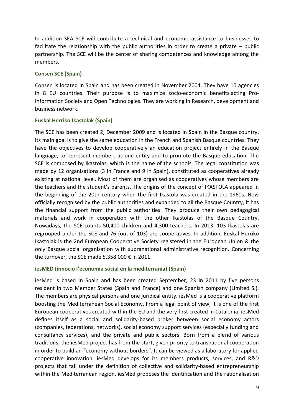In addition SEA SCE will contribute a technical and economic assistance to businesses to facilitate the relationship with the public authorities in order to create a private – public partnership. The SCE will be the center of sharing competences and knowledge among the members.

## **Consen SCE (Spain)**

Consen is located in Spain and has been created in November 2004. They have 10 agencies in 8 EU countries. Their purpose is to maximize socio-economic benefits acting Pro-Information Society and Open Technologies. They are working in Research, development and business network.

## **Euskal Herriko Ikastolak (Spain)**

The SCE has been created 2, December 2009 and is located in Spain in the Basque country. Its main goal is to give the same education in the French and Spanish Basque countries. They have the objectives to develop cooperatively an education project entirely in the Basque language, to represent members as one entity and to promote the Basque education. The SCE is composed by Ikastolas, which is the name of the schools. The legal constitution was made by 12 organisations (3 in France and 9 in Spain), constituted as cooperatives already existing at national level. Most of them are organised as cooperatives whose members are the teachers and the student's parents. The origins of the concept of IKASTOLA appeared in the beginning of the 20th century when the first Ikastola was created in the 1960s. Now officially recognised by the public authorities and expanded to all the Basque Country, it has the financial support from the public authorities. They produce their own pedagogical materials and work in cooperation with the other Ikastolas of the Basque Country. Nowadays, the SCE counts 50,400 children and 4,300 teachers. In 2013, 103 Ikastolas are regrouped under the SCE and 76 (out of 103) are cooperatives. In addition, Euskal Herriko Ikastolak is the 2nd European Cooperative Society registered in the European Union & the only Basque social organisation with supranational administrative recognition. Concerning the turnover, the SCE made 5.358.000 € in 2011.

# **iesMED (innocio I'economia social en la mediterrania) (Spain)**

iesMed is based in Spain and has been created September, 23 in 2011 by five persons resident in two Member States (Spain and France) and one Spanish company (Limited S.). The members are physical persons and one juridical entity. iesMed is a cooperative platform boosting the Mediterranean Social Economy. From a legal point of view, it is one of the first European cooperatives created within the EU and the very first created in Catalonia. iesMed defines itself as a social and solidarity-based broker between social economy actors (companies, federations, networks), social economy support services (especially funding and consultancy services), and the private and public sectors. Born from a blend of various traditions, the iesMed project has from the start, given priority to transnational cooperation in order to build an "economy without borders". It can be viewed as a laboratory for applied cooperative innovation. iesMed develops for its members products, services, and R&D projects that fall under the definition of collective and solidarity-based entrepreneurship within the Mediterranean region. iesMed proposes the identification and the rationalisation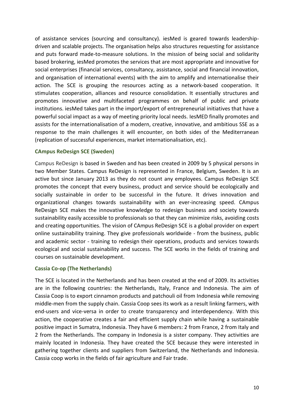of assistance services (sourcing and consultancy). iesMed is geared towards leadershipdriven and scalable projects. The organisation helps also structures requesting for assistance and puts forward made-to-measure solutions. In the mission of being social and solidarity based brokering, iesMed promotes the services that are most appropriate and innovative for social enterprises (financial services, consultancy, assistance, social and financial innovation, and organisation of international events) with the aim to amplify and internationalise their action. The SCE is grouping the resources acting as a network-based cooperation. It stimulates cooperation, alliances and resource consolidation. It essentially structures and promotes innovative and multifaceted programmes on behalf of public and private institutions. iesMed takes part in the import/export of entrepreneurial initiatives that have a powerful social impact as a way of meeting priority local needs. IesMED finally promotes and assists for the internationalisation of a modern, creative, innovative, and ambitious SSE as a response to the main challenges it will encounter, on both sides of the Mediterranean (replication of successful experiences, market internationalisation, etc).

## **CAmpus ReDesign SCE (Sweden)**

Campus ReDesign is based in Sweden and has been created in 2009 by 5 physical persons in two Member States. Campus ReDesign is represented in France, Belgium, Sweden. It is an active but since January 2013 as they do not count any employees. Campus ReDesign SCE promotes the concept that every business, product and service should be ecologically and socially sustainable in order to be successful in the future. It drives innovation and organizational changes towards sustainability with an ever-increasing speed. CAmpus ReDesign SCE makes the innovative knowledge to redesign business and society towards sustainability easily accessible to professionals so that they can minimize risks, avoiding costs and creating opportunities. The vision of CAmpus ReDesign SCE is a global provider on expert online sustainability training. They give professionals worldwide - from the business, public and academic sector - training to redesign their operations, products and services towards ecological and social sustainability and success. The SCE works in the fields of training and courses on sustainable development.

## **Cassia Co-op (The Netherlands)**

The SCE is located in the Netherlands and has been created at the end of 2009. Its activities are in the following countries: the Netherlands, Italy, France and Indonesia. The aim of Cassia Coop is to export cinnamon products and patchouli oil from Indonesia while removing middle-men from the supply chain. Cassia Coop sees its work as a result linking farmers, with end-users and vice-versa in order to create transparency and interdependency. With this action, the cooperative creates a fair and efficient supply chain while having a sustainable positive impact in Sumatra, Indonesia. They have 6 members: 2 from France, 2 from Italy and 2 from the Netherlands. The company in Indonesia is a sister company. They activities are mainly located in Indonesia. They have created the SCE because they were interested in gathering together clients and suppliers from Switzerland, the Netherlands and Indonesia. Cassia coop works in the fields of fair agriculture and Fair trade.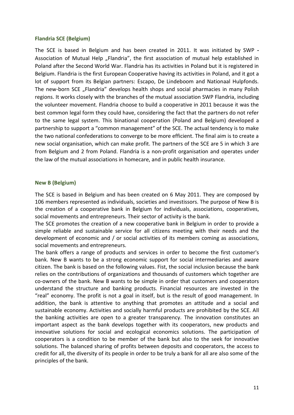#### **Flandria SCE (Belgium)**

The SCE is based in Belgium and has been created in 2011. It was initiated by SWP **-** Association of Mutual Help "Flandria", the first association of mutual help established in Poland after the Second World War. Flandria has its activities in Poland but it is registered in Belgium. Flandria is the first European Cooperative having its activities in Poland, and it got a lot of support from its Belgian partners: Escapo, De Lindeboom and Nationaal Hulpfonds. The new-born SCE "Flandria" develops health shops and social pharmacies in many Polish regions. It works closely with the branches of the mutual association SWP Flandria, including the volunteer movement. Flandria choose to build a cooperative in 2011 because it was the best common legal form they could have, considering the fact that the partners do not refer to the same legal system. This binational cooperation (Poland and Belgium) developed a partnership to support a "common management" of the SCE. The actual tendency is to make the two national confederations to converge to be more efficient. The final aim is to create a new social organisation, which can make profit. The partners of the SCE are 5 in which 3 are from Belgium and 2 from Poland. Flandria is a non-profit organisation and operates under the law of the mutual associations in homecare, and in public health insurance.

#### **New B (Belgium)**

The SCE is based in Belgium and has been created on 6 May 2011. They are composed by 106 members represented as individuals, societies and investissors. The purpose of New B is the creation of a cooperative bank in Belgium for individuals, associations, cooperatives, social movements and entrepreneurs. Their sector of activity is the bank.

The SCE promotes the creation of a new cooperative bank in Belgium in order to provide a simple reliable and sustainable service for all citizens meeting with their needs and the development of economic and / or social activities of its members coming as associations, social movements and entrepreneurs.

The bank offers a range of products and services in order to become the first customer's bank. New B wants to be a strong economic support for social intermediaries and aware citizen. The bank is based on the following values. Fist, the social inclusion because the bank relies on the contributions of organizations and thousands of customers which together are co-owners of the bank. New B wants to be simple in order that customers and cooperators understand the structure and banking products. Financial resources are invested in the "real" economy. The profit is not a goal in itself, but is the result of good management. In addition, the bank is attentive to anything that promotes an attitude and a social and sustainable economy. Activities and socially harmful products are prohibited by the SCE. All the banking activities are open to a greater transparency. The innovation constitutes an important aspect as the bank develops together with its cooperators, new products and innovative solutions for social and ecological economics solutions. The participation of cooperators is a condition to be member of the bank but also to the seek for innovative solutions. The balanced sharing of profits between deposits and cooperators, the access to credit for all, the diversity of its people in order to be truly a bank for all are also some of the principles of the bank.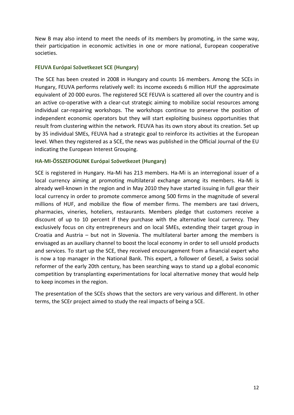New B may also intend to meet the needs of its members by promoting, in the same way, their participation in economic activities in one or more national, European cooperative societies.

#### **FEUVA Európai Szövetkezet SCE (Hungary)**

The SCE has been created in 2008 in Hungary and counts 16 members. Among the SCEs in Hungary, FEUVA performs relatively well: its income exceeds 6 million HUF the approximate equivalent of 20 000 euros. The registered SCE FEUVA is scattered all over the country and is an active co-operative with a clear-cut strategic aiming to mobilize social resources among individual car-repairing workshops. The workshops continue to preserve the position of independent economic operators but they will start exploiting business opportunities that result from clustering within the network. FEUVA has its own story about its creation. Set up by 35 individual SMEs, FEUVA had a strategic goal to reinforce its activities at the European level. When they registered as a SCE, the news was published in the Official Journal of the EU indicating the European Interest Grouping.

## **HA-MI-ÖSSZEFOGUNK Európai Szövetkezet (Hungary)**

SCE is registered in Hungary. Ha-Mi has 213 members. Ha-Mi is an interregional issuer of a local currency aiming at promoting multilateral exchange among its members. Ha-Mi is already well-known in the region and in May 2010 they have started issuing in full gear their local currency in order to promote commerce among 500 firms in the magnitude of several millions of HUF, and mobilize the flow of member firms. The members are taxi drivers, pharmacies, vineries, hoteliers, restaurants. Members pledge that customers receive a discount of up to 10 percent if they purchase with the alternative local currency. They exclusively focus on city entrepreneurs and on local SMEs, extending their target group in Croatia and Austria – but not in Slovenia. The multilateral barter among the members is envisaged as an auxiliary channel to boost the local economy in order to sell unsold products and services. To start up the SCE, they received encouragement from a financial expert who is now a top manager in the National Bank. This expert, a follower of Gesell, a Swiss social reformer of the early 20th century, has been searching ways to stand up a global economic competition by transplanting experimentations for local alternative money that would help to keep incomes in the region.

The presentation of the SCEs shows that the sectors are very various and different. In other terms, the SCEr project aimed to study the real impacts of being a SCE.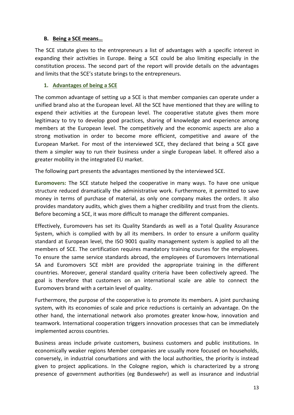## <span id="page-12-0"></span>**B. Being a SCE means…**

The SCE statute gives to the entrepreneurs a list of advantages with a specific interest in expanding their activities in Europe. Being a SCE could be also limiting especially in the constitution process. The second part of the report will provide details on the advantages and limits that the SCE's statute brings to the entrepreneurs.

## <span id="page-12-1"></span>**1. Advantages of being a SCE**

The common advantage of setting up a SCE is that member companies can operate under a unified brand also at the European level. All the SCE have mentioned that they are willing to expend their activities at the European level. The cooperative statute gives them more legitimacy to try to develop good practices, sharing of knowledge and experience among members at the European level. The competitively and the economic aspects are also a strong motivation in order to become more efficient, competitive and aware of the European Market. For most of the interviewed SCE, they declared that being a SCE gave them a simpler way to run their business under a single European label. It offered also a greater mobility in the integrated EU market.

The following part presents the advantages mentioned by the interviewed SCE.

**Euromovers:** The SCE statute helped the cooperative in many ways. To have one unique structure reduced dramatically the administrative work. Furthermore, it permitted to save money in terms of purchase of material, as only one company makes the orders. It also provides mandatory audits, which gives them a higher credibility and trust from the clients. Before becoming a SCE, it was more difficult to manage the different companies.

Effectively, Euromovers has set its Quality Standards as well as a Total Quality Assurance System, which is complied with by all its members. In order to ensure a uniform quality standard at European level, the ISO 9001 quality management system is applied to all the members of SCE. The certification requires mandatory training courses for the employees. To ensure the same service standards abroad, the employees of Euromovers International SA and Euromovers SCE mbH are provided the appropriate training in the different countries. Moreover, general standard quality criteria have been collectively agreed. The goal is therefore that customers on an international scale are able to connect the Euromovers brand with a certain level of quality.

Furthermore, the purpose of the cooperative is to promote its members. A joint purchasing system, with its economies of scale and price reductions is certainly an advantage. On the other hand, the international network also promotes greater know-how, innovation and teamwork. International cooperation triggers innovation processes that can be immediately implemented across countries.

Business areas include private customers, business customers and public institutions. In economically weaker regions Member companies are usually more focused on households, conversely, in industrial conurbations and with the local authorities, the priority is instead given to project applications. In the Cologne region, which is characterized by a strong presence of government authorities (eg Bundeswehr) as well as insurance and industrial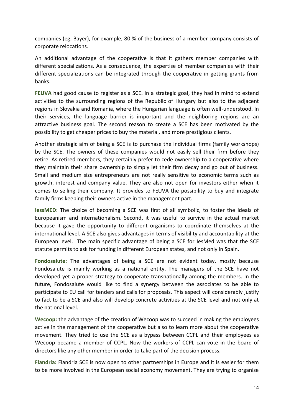companies (eg, Bayer), for example, 80 % of the business of a member company consists of corporate relocations.

An additional advantage of the cooperative is that it gathers member companies with different specializations. As a consequence, the expertise of member companies with their different specializations can be integrated through the cooperative in getting grants from banks.

**FEUVA** had good cause to register as a SCE. In a strategic goal, they had in mind to extend activities to the surrounding regions of the Republic of Hungary but also to the adjacent regions in Slovakia and Romania, where the Hungarian language is often well-understood. In their services, the language barrier is important and the neighboring regions are an attractive business goal. The second reason to create a SCE has been motivated by the possibility to get cheaper prices to buy the material, and more prestigious clients.

Another strategic aim of being a SCE is to purchase the individual firms (family workshops) by the SCE. The owners of these companies would not easily sell their firm before they retire. As retired members, they certainly prefer to cede ownership to a cooperative where they maintain their share ownership to simply let their firm decay and go out of business. Small and medium size entrepreneurs are not really sensitive to economic terms such as growth, interest and company value. They are also not open for investors either when it comes to selling their company. It provides to FEUVA the possibility to buy and integrate family firms keeping their owners active in the management part.

**IessMED:** The choice of becoming a SCE was first of all symbolic, to foster the ideals of Europeanism and internationalism. Second, it was useful to survive in the actual market because it gave the opportunity to different organisms to coordinate themselves at the international level. A SCE also gives advantages in terms of visibility and accountability at the European level. The main specific advantage of being a SCE for IesMed was that the SCE statute permits to ask for funding in different European states, and not only in Spain.

**Fondosalute:** The advantages of being a SCE are not evident today, mostly because Fondosalute is mainly working as a national entity. The managers of the SCE have not developed yet a proper strategy to cooperate transnationally among the members. In the future, Fondosalute would like to find a synergy between the associates to be able to participate to EU call for tenders and calls for proposals. This aspect will considerably justify to fact to be a SCE and also will develop concrete activities at the SCE level and not only at the national level.

**Wecoop:** the advantage of the creation of Wecoop was to succeed in making the employees active in the management of the cooperative but also to learn more about the cooperative movement. They tried to use the SCE as a bypass between CCPL and their employees as Wecoop became a member of CCPL. Now the workers of CCPL can vote in the board of directors like any other member in order to take part of the decision process.

**Flandria:** Flandria SCE is now open to other partnerships in Europe and it is easier for them to be more involved in the European social economy movement. They are trying to organise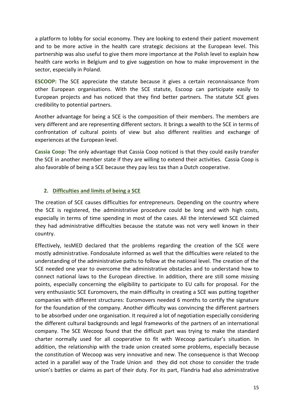a platform to lobby for social economy. They are looking to extend their patient movement and to be more active in the health care strategic decisions at the European level. This partnership was also useful to give them more importance at the Polish level to explain how health care works in Belgium and to give suggestion on how to make improvement in the sector, especially in Poland.

**ESCOOP:** The SCE appreciate the statute because it gives a certain reconnaissance from other European organisations. With the SCE statute, Escoop can participate easily to European projects and has noticed that they find better partners. The statute SCE gives credibility to potential partners.

Another advantage for being a SCE is the composition of their members. The members are very different and are representing different sectors. It brings a wealth to the SCE in terms of confrontation of cultural points of view but also different realities and exchange of experiences at the European level.

**Cassia Coop:** The only advantage that Cassia Coop noticed is that they could easily transfer the SCE in another member state if they are willing to extend their activities. Cassia Coop is also favorable of being a SCE because they pay less tax than a Dutch cooperative.

# <span id="page-14-0"></span>**2. Difficulties and limits of being a SCE**

The creation of SCE causes difficulties for entrepreneurs. Depending on the country where the SCE is registered, the administrative procedure could be long and with high costs, especially in terms of time spending in most of the cases. All the interviewed SCE claimed they had administrative difficulties because the statute was not very well known in their country.

Effectively, IesMED declared that the problems regarding the creation of the SCE were mostly administrative. Fondosalute informed as well that the difficulties were related to the understanding of the administrative paths to follow at the national level. The creation of the SCE needed one year to overcome the administrative obstacles and to understand how to connect national laws to the European directive. In addition, there are still some missing points, especially concerning the eligibility to participate to EU calls for proposal. For the very enthusiastic SCE Euromovers, the main difficulty in creating a SCE was putting together companies with different structures: Euromovers needed 6 months to certify the signature for the foundation of the company. Another difficulty was convincing the different partners to be absorbed under one organisation. It required a lot of negotiation especially considering the different cultural backgrounds and legal frameworks of the partners of an international company. The SCE Wecoop found that the difficult part was trying to make the standard charter normally used for all cooperative to fit with Wecoop particular's situation. In addition, the relationship with the trade union created some problems, especially because the constitution of Wecoop was very innovative and new. The consequence is that Wecoop acted in a parallel way of the Trade Union and they did not chose to consider the trade union's battles or claims as part of their duty. For its part, Flandria had also administrative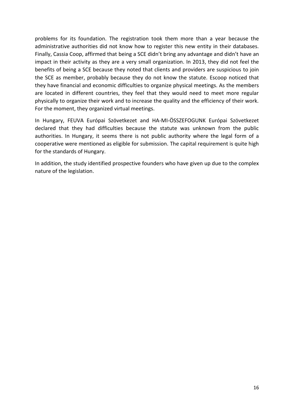problems for its foundation. The registration took them more than a year because the administrative authorities did not know how to register this new entity in their databases. Finally, Cassia Coop, affirmed that being a SCE didn't bring any advantage and didn't have an impact in their activity as they are a very small organization. In 2013, they did not feel the benefits of being a SCE because they noted that clients and providers are suspicious to join the SCE as member, probably because they do not know the statute. Escoop noticed that they have financial and economic difficulties to organize physical meetings. As the members are located in different countries, they feel that they would need to meet more regular physically to organize their work and to increase the quality and the efficiency of their work. For the moment, they organized virtual meetings.

In Hungary, FEUVA Európai Szövetkezet and HA-MI-ÖSSZEFOGUNK Európai Szövetkezet declared that they had difficulties because the statute was unknown from the public authorities. In Hungary, it seems there is not public authority where the legal form of a cooperative were mentioned as eligible for submission. The capital requirement is quite high for the standards of Hungary.

In addition, the study identified prospective founders who have given up due to the complex nature of the legislation.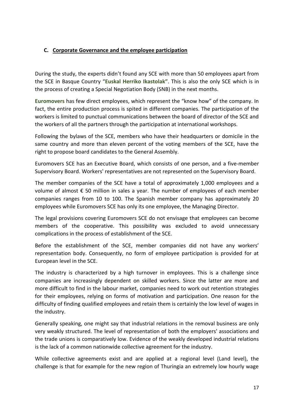# <span id="page-16-0"></span>**C. Corporate Governance and the employee participation**

During the study, the experts didn't found any SCE with more than 50 employees apart from the SCE in Basque Country "**Euskal Herriko Ikastolak"**. This is also the only SCE which is in the process of creating a Special Negotiation Body (SNB) in the next months.

**Euromovers** has few direct employees, which represent the "know how" of the company. In fact, the entire production process is spited in different companies. The participation of the workers is limited to punctual communications between the board of director of the SCE and the workers of all the partners through the participation at international workshops.

Following the bylaws of the SCE, members who have their headquarters or domicile in the same country and more than eleven percent of the voting members of the SCE, have the right to propose board candidates to the General Assembly.

Euromovers SCE has an Executive Board, which consists of one person, and a five-member Supervisory Board. Workers' representatives are not represented on the Supervisory Board.

The member companies of the SCE have a total of approximately 1,000 employees and a volume of almost € 50 million in sales a year. The number of employees of each member companies ranges from 10 to 100. The Spanish member company has approximately 20 employees while Euromovers SCE has only its one employee, the Managing Director.

The legal provisions covering Euromovers SCE do not envisage that employees can become members of the cooperative. This possibility was excluded to avoid unnecessary complications in the process of establishment of the SCE.

Before the establishment of the SCE, member companies did not have any workers' representation body. Consequently, no form of employee participation is provided for at European level in the SCE.

The industry is characterized by a high turnover in employees. This is a challenge since companies are increasingly dependent on skilled workers. Since the latter are more and more difficult to find in the labour market, companies need to work out retention strategies for their employees, relying on forms of motivation and participation. One reason for the difficulty of finding qualified employees and retain them is certainly the low level of wages in the industry.

Generally speaking, one might say that industrial relations in the removal business are only very weakly structured. The level of representation of both the employers' associations and the trade unions is comparatively low. Evidence of the weakly developed industrial relations is the lack of a common nationwide collective agreement for the industry.

While collective agreements exist and are applied at a regional level (Land level), the challenge is that for example for the new region of Thuringia an extremely low hourly wage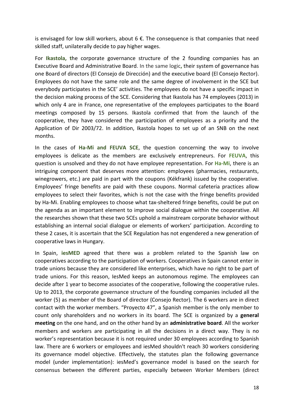is envisaged for low skill workers, about  $6 \notin$ . The consequence is that companies that need skilled staff, unilaterally decide to pay higher wages.

For **Ikastola, t**he corporate governance structure of the 2 founding companies has an Executive Board and Administrative Board. In the same logic**,** their system of governance has one Board of directors (El Consejo de Dirección) and the executive board (El Consejo Rector). Employees do not have the same role and the same degree of involvement in the SCE but everybody participates in the SCE' activities. The employees do not have a specific impact in the decision making process of the SCE. Considering that Ikastola has 74 employees (2013) in which only 4 are in France, one representative of the employees participates to the Board meetings composed by 15 persons. Ikastola confirmed that from the launch of the cooperative, they have considered the participation of employees as a priority and the Application of Dir 2003/72. In addition, Ikastola hopes to set up of an SNB on the next months.

In the cases of **Ha-Mi and FEUVA SCE**, the question concerning the way to involve employees is delicate as the members are exclusively entrepreneurs. For **FEUVA**, this question is unsolved and they do not have employee representation. For **Ha-Mi**, there is an intriguing component that deserves more attention: employees (pharmacies, restaurants, winegrowers, etc.) are paid in part with the coupons (Kékfrank) issued by the cooperative. Employees' fringe benefits are paid with these coupons. Normal cafeteria practices allow employees to select their favorites, which is not the case with the fringe benefits provided by Ha-Mi. Enabling employees to choose what tax-sheltered fringe benefits, could be put on the agenda as an important element to improve social dialogue within the cooperative. All the researches shown that these two SCEs uphold a mainstream corporate behavior without establishing an internal social dialogue or elements of workers' participation. According to these 2 cases, it is ascertain that the SCE Regulation has not engendered a new generation of cooperative laws in Hungary.

In Spain, **iesMED** agreed that there was a problem related to the Spanish law on cooperatives according to the participation of workers. Cooperatives in Spain cannot enter in trade unions because they are considered like enterprises, which have no right to be part of trade unions. For this reason, IesMed keeps an autonomous regime. The employees can decide after 1 year to become associates of the cooperative, following the cooperative rules. Up to 2013, the corporate governance structure of the founding companies included all the worker (5) as member of the Board of director (Consejo Rector). The 6 workers are in direct contact with the worker members. "Proyecto 47", a Spanish member is the only member to count only shareholders and no workers in its board. The SCE is organized by a **general meeting** on the one hand, and on the other hand by an **administrative board**. All the worker members and workers are participating in all the decisions in a direct way. They is no worker's representation because it is not required under 30 employees according to Spanish law. There are 6 workers or employees and iesMed shouldn't reach 30 workers considering its governance model objective. Effectively, the statutes plan the following governance model (under implementation): iesMed's governance model is based on the search for consensus between the different parties, especially between Worker Members (direct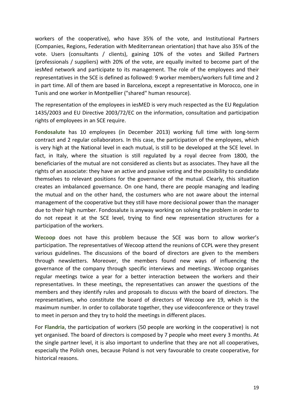workers of the cooperative), who have 35% of the vote, and Institutional Partners (Companies, Regions, Federation with Mediterranean orientation) that have also 35% of the vote. Users (consultants / clients), gaining 10% of the votes and Skilled Partners (professionals / suppliers) with 20% of the vote, are equally invited to become part of the iesMed network and participate to its management. The role of the employees and their representatives in the SCE is defined as followed: 9 worker members/workers full time and 2 in part time. All of them are based in Barcelona, except a representative in Morocco, one in Tunis and one worker in Montpellier ("shared" human resource).

The representation of the employees in iesMED is very much respected as the EU Regulation 1435/2003 and EU Directive 2003/72/EC on the information, consultation and participation rights of employees in an SCE require.

**Fondosalute** has 10 employees (in December 2013) working full time with long-term contract and 2 regular collaborators. In this case, the participation of the employees, which is very high at the National level in each mutual, is still to be developed at the SCE level. In fact, in Italy, where the situation is still regulated by a royal decree from 1800, the beneficiaries of the mutual are not considered as clients but as associates. They have all the rights of an associate: they have an active and passive voting and the possibility to candidate themselves to relevant positions for the governance of the mutual. Clearly, this situation creates an imbalanced governance. On one hand, there are people managing and leading the mutual and on the other hand, the costumers who are not aware about the internal management of the cooperative but they still have more decisional power than the manager due to their high number. Fondosalute is anyway working on solving the problem in order to do not repeat it at the SCE level, trying to find new representation structures for a participation of the workers.

**Wecoop** does not have this problem because the SCE was born to allow worker's participation. The representatives of Wecoop attend the reunions of CCPL were they present various guidelines. The discussions of the board of directors are given to the members through newsletters. Moreover, the members found new ways of influencing the governance of the company through specific interviews and meetings. Wecoop organises regular meetings twice a year for a better interaction between the workers and their representatives. In these meetings, the representatives can answer the questions of the members and they identify rules and proposals to discuss with the board of directors. The representatives, who constitute the board of directors of Wecoop are 19, which is the maximum number. In order to collaborate together, they use videoconference or they travel to meet in person and they try to hold the meetings in different places.

For **Flandria**, the participation of workers (50 people are working in the cooperative) is not yet organised. The board of directors is composed by 7 people who meet every 3 months. At the single partner level, it is also important to underline that they are not all cooperatives, especially the Polish ones, because Poland is not very favourable to create cooperative, for historical reasons.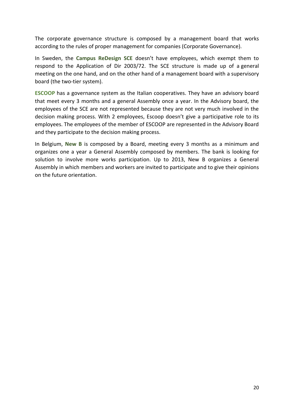The corporate governance structure is composed by a management board that works according to the rules of proper management for companies (Corporate Governance).

In Sweden, the **Campus ReDesign SCE** doesn't have employees, which exempt them to respond to the Application of Dir 2003/72. The SCE structure is made up of a general meeting on the one hand, and on the other hand of a management board with a supervisory board (the two-tier system).

**ESCOOP** has a governance system as the Italian cooperatives. They have an advisory board that meet every 3 months and a general Assembly once a year. In the Advisory board, the employees of the SCE are not represented because they are not very much involved in the decision making process. With 2 employees, Escoop doesn't give a participative role to its employees. The employees of the member of ESCOOP are represented in the Advisory Board and they participate to the decision making process.

In Belgium, **New B** is composed by a Board, meeting every 3 months as a minimum and organizes one a year a General Assembly composed by members. The bank is looking for solution to involve more works participation. Up to 2013, New B organizes a General Assembly in which members and workers are invited to participate and to give their opinions on the future orientation.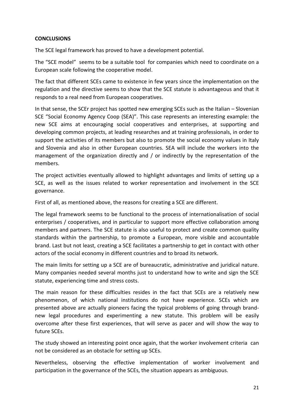#### <span id="page-20-0"></span>**CONCLUSIONS**

The SCE legal framework has proved to have a development potential.

The "SCE model" seems to be a suitable tool for companies which need to coordinate on a European scale following the cooperative model.

The fact that different SCEs came to existence in few years since the implementation on the regulation and the directive seems to show that the SCE statute is advantageous and that it responds to a real need from European cooperatives.

In that sense, the SCEr project has spotted new emerging SCEs such as the Italian – Slovenian SCE "Social Economy Agency Coop (SEA)". This case represents an interesting example: the new SCE aims at encouraging social cooperatives and enterprises, at supporting and developing common projects, at leading researches and at training professionals, in order to support the activities of its members but also to promote the social economy values in Italy and Slovenia and also in other European countries. SEA will include the workers into the management of the organization directly and / or indirectly by the representation of the members.

The project activities eventually allowed to highlight advantages and limits of setting up a SCE, as well as the issues related to worker representation and involvement in the SCE governance.

First of all, as mentioned above, the reasons for creating a SCE are different.

The legal framework seems to be functional to the process of internationalisation of social enterprises / cooperatives, and in particular to support more effective collaboration among members and partners. The SCE statute is also useful to protect and create common quality standards within the partnership, to promote a European, more visible and accountable brand. Last but not least, creating a SCE facilitates a partnership to get in contact with other actors of the social economy in different countries and to broad its network.

The main limits for setting up a SCE are of bureaucratic, administrative and juridical nature. Many companies needed several months just to understand how to write and sign the SCE statute, experiencing time and stress costs.

The main reason for these difficulties resides in the fact that SCEs are a relatively new phenomenon, of which national institutions do not have experience. SCEs which are presented above are actually pioneers facing the typical problems of going through brandnew legal procedures and experimenting a new statute. This problem will be easily overcome after these first experiences, that will serve as pacer and will show the way to future SCEs.

The study showed an interesting point once again, that the worker involvement criteria can not be considered as an obstacle for setting up SCEs.

Nevertheless, observing the effective implementation of worker involvement and participation in the governance of the SCEs, the situation appears as ambiguous.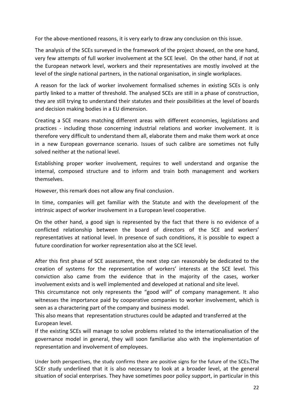For the above-mentioned reasons, it is very early to draw any conclusion on this issue.

The analysis of the SCEs surveyed in the framework of the project showed, on the one hand, very few attempts of full worker involvement at the SCE level. On the other hand, if not at the European network level, workers and their representatives are mostly involved at the level of the single national partners, in the national organisation, in single workplaces.

A reason for the lack of worker involvement formalised schemes in existing SCEs is only partly linked to a matter of threshold. The analysed SCEs are still in a phase of construction, they are still trying to understand their statutes and their possibilities at the level of boards and decision making bodies in a EU dimension.

Creating a SCE means matching different areas with different economies, legislations and practices - including those concerning industrial relations and worker involvement. It is therefore very difficult to understand them all, elaborate them and make them work at once in a new European governance scenario. Issues of such calibre are sometimes not fully solved neither at the national level.

Establishing proper worker involvement, requires to well understand and organise the internal, composed structure and to inform and train both management and workers themselves.

However, this remark does not allow any final conclusion.

In time, companies will get familiar with the Statute and with the development of the intrinsic aspect of worker involvement in a European level cooperative.

On the other hand, a good sign is represented by the fact that there is no evidence of a conflicted relationship between the board of directors of the SCE and workers' representatives at national level. In presence of such conditions, it is possible to expect a future coordination for worker representation also at the SCE level.

After this first phase of SCE assessment, the next step can reasonably be dedicated to the creation of systems for the representation of workers' interests at the SCE level. This conviction also came from the evidence that in the majority of the cases, worker involvement exists and is well implemented and developed at national and site level.

This circumstance not only represents the "good will" of company management. It also witnesses the importance paid by cooperative companies to worker involvement, which is seen as a charactering part of the company and business model.

This also means that representation structures could be adapted and transferred at the European level.

If the existing SCEs will manage to solve problems related to the internationalisation of the governance model in general, they will soon familiarise also with the implementation of representation and involvement of employees.

Under both perspectives, the study confirms there are positive signs for the future of the SCEs.The SCEr study underlined that it is also necessary to look at a broader level, at the general situation of social enterprises. They have sometimes poor policy support, in particular in this